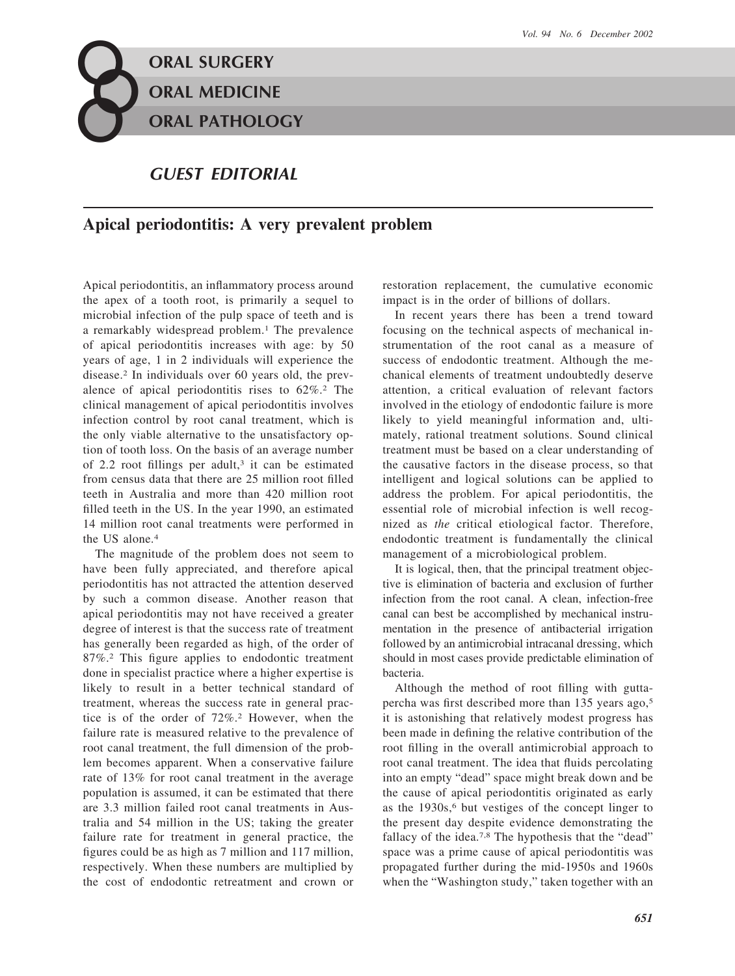## **o oo ORAL SURGERY ORAL MEDICINE ORAL PATHOLOGY**

## *GUEST EDITORIAL*

## **Apical periodontitis: A very prevalent problem**

Apical periodontitis, an inflammatory process around the apex of a tooth root, is primarily a sequel to microbial infection of the pulp space of teeth and is a remarkably widespread problem.<sup>1</sup> The prevalence of apical periodontitis increases with age: by 50 years of age, 1 in 2 individuals will experience the disease.2 In individuals over 60 years old, the prevalence of apical periodontitis rises to 62%.2 The clinical management of apical periodontitis involves infection control by root canal treatment, which is the only viable alternative to the unsatisfactory option of tooth loss. On the basis of an average number of 2.2 root fillings per adult,<sup>3</sup> it can be estimated from census data that there are 25 million root filled teeth in Australia and more than 420 million root filled teeth in the US. In the year 1990, an estimated 14 million root canal treatments were performed in the US alone.4

The magnitude of the problem does not seem to have been fully appreciated, and therefore apical periodontitis has not attracted the attention deserved by such a common disease. Another reason that apical periodontitis may not have received a greater degree of interest is that the success rate of treatment has generally been regarded as high, of the order of 87%.2 This figure applies to endodontic treatment done in specialist practice where a higher expertise is likely to result in a better technical standard of treatment, whereas the success rate in general practice is of the order of 72%.2 However, when the failure rate is measured relative to the prevalence of root canal treatment, the full dimension of the problem becomes apparent. When a conservative failure rate of 13% for root canal treatment in the average population is assumed, it can be estimated that there are 3.3 million failed root canal treatments in Australia and 54 million in the US; taking the greater failure rate for treatment in general practice, the figures could be as high as 7 million and 117 million, respectively. When these numbers are multiplied by the cost of endodontic retreatment and crown or restoration replacement, the cumulative economic impact is in the order of billions of dollars.

In recent years there has been a trend toward focusing on the technical aspects of mechanical instrumentation of the root canal as a measure of success of endodontic treatment. Although the mechanical elements of treatment undoubtedly deserve attention, a critical evaluation of relevant factors involved in the etiology of endodontic failure is more likely to yield meaningful information and, ultimately, rational treatment solutions. Sound clinical treatment must be based on a clear understanding of the causative factors in the disease process, so that intelligent and logical solutions can be applied to address the problem. For apical periodontitis, the essential role of microbial infection is well recognized as *the* critical etiological factor. Therefore, endodontic treatment is fundamentally the clinical management of a microbiological problem.

It is logical, then, that the principal treatment objective is elimination of bacteria and exclusion of further infection from the root canal. A clean, infection-free canal can best be accomplished by mechanical instrumentation in the presence of antibacterial irrigation followed by an antimicrobial intracanal dressing, which should in most cases provide predictable elimination of bacteria.

Although the method of root filling with guttapercha was first described more than 135 years ago,5 it is astonishing that relatively modest progress has been made in defining the relative contribution of the root filling in the overall antimicrobial approach to root canal treatment. The idea that fluids percolating into an empty "dead" space might break down and be the cause of apical periodontitis originated as early as the 1930s,<sup>6</sup> but vestiges of the concept linger to the present day despite evidence demonstrating the fallacy of the idea.<sup>7,8</sup> The hypothesis that the "dead" space was a prime cause of apical periodontitis was propagated further during the mid-1950s and 1960s when the "Washington study," taken together with an